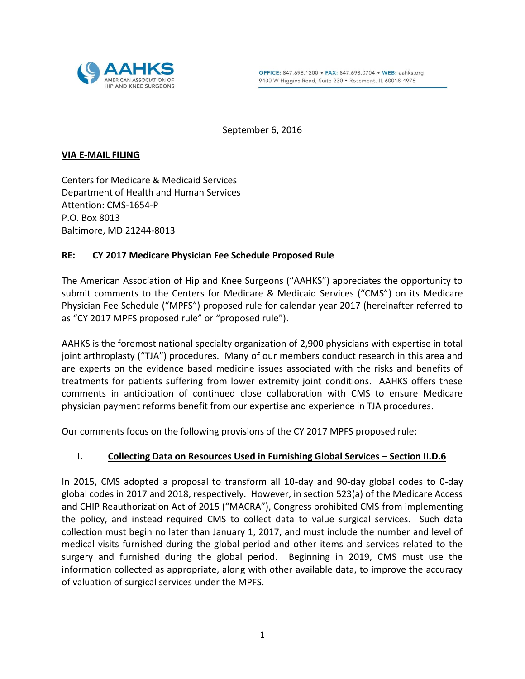

September 6, 2016

#### **VIA E-MAIL FILING**

Centers for Medicare & Medicaid Services Department of Health and Human Services Attention: CMS-1654-P P.O. Box 8013 Baltimore, MD 21244-8013

# **RE: CY 2017 Medicare Physician Fee Schedule Proposed Rule**

The American Association of Hip and Knee Surgeons ("AAHKS") appreciates the opportunity to submit comments to the Centers for Medicare & Medicaid Services ("CMS") on its Medicare Physician Fee Schedule ("MPFS") proposed rule for calendar year 2017 (hereinafter referred to as "CY 2017 MPFS proposed rule" or "proposed rule").

AAHKS is the foremost national specialty organization of 2,900 physicians with expertise in total joint arthroplasty ("TJA") procedures. Many of our members conduct research in this area and are experts on the evidence based medicine issues associated with the risks and benefits of treatments for patients suffering from lower extremity joint conditions. AAHKS offers these comments in anticipation of continued close collaboration with CMS to ensure Medicare physician payment reforms benefit from our expertise and experience in TJA procedures.

Our comments focus on the following provisions of the CY 2017 MPFS proposed rule:

# **I. Collecting Data on Resources Used in Furnishing Global Services – Section II.D.6**

In 2015, CMS adopted a proposal to transform all 10-day and 90-day global codes to 0-day global codes in 2017 and 2018, respectively. However, in section 523(a) of the Medicare Access and CHIP Reauthorization Act of 2015 ("MACRA"), Congress prohibited CMS from implementing the policy, and instead required CMS to collect data to value surgical services. Such data collection must begin no later than January 1, 2017, and must include the number and level of medical visits furnished during the global period and other items and services related to the surgery and furnished during the global period. Beginning in 2019, CMS must use the information collected as appropriate, along with other available data, to improve the accuracy of valuation of surgical services under the MPFS.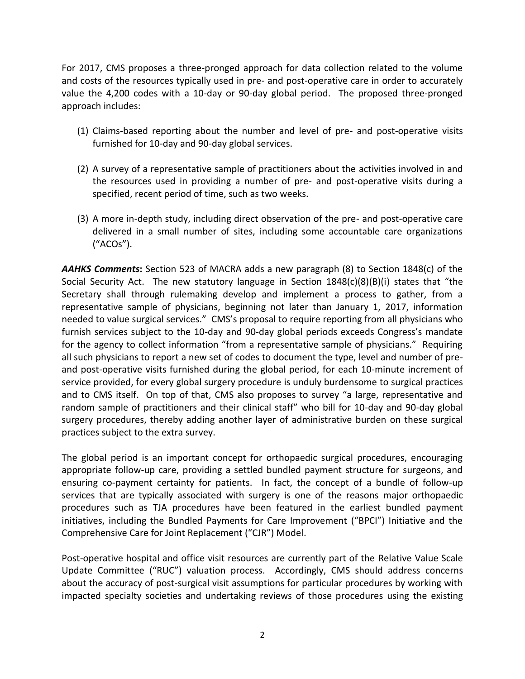For 2017, CMS proposes a three-pronged approach for data collection related to the volume and costs of the resources typically used in pre- and post-operative care in order to accurately value the 4,200 codes with a 10-day or 90-day global period. The proposed three-pronged approach includes:

- (1) Claims-based reporting about the number and level of pre- and post-operative visits furnished for 10-day and 90-day global services.
- (2) A survey of a representative sample of practitioners about the activities involved in and the resources used in providing a number of pre- and post-operative visits during a specified, recent period of time, such as two weeks.
- (3) A more in-depth study, including direct observation of the pre- and post-operative care delivered in a small number of sites, including some accountable care organizations ("ACOs").

*AAHKS Comments***:** Section 523 of MACRA adds a new paragraph (8) to Section 1848(c) of the Social Security Act. The new statutory language in Section  $1848(c)(8)(B)(i)$  states that "the Secretary shall through rulemaking develop and implement a process to gather, from a representative sample of physicians, beginning not later than January 1, 2017, information needed to value surgical services." CMS's proposal to require reporting from all physicians who furnish services subject to the 10-day and 90-day global periods exceeds Congress's mandate for the agency to collect information "from a representative sample of physicians." Requiring all such physicians to report a new set of codes to document the type, level and number of preand post-operative visits furnished during the global period, for each 10-minute increment of service provided, for every global surgery procedure is unduly burdensome to surgical practices and to CMS itself. On top of that, CMS also proposes to survey "a large, representative and random sample of practitioners and their clinical staff" who bill for 10-day and 90-day global surgery procedures, thereby adding another layer of administrative burden on these surgical practices subject to the extra survey.

The global period is an important concept for orthopaedic surgical procedures, encouraging appropriate follow-up care, providing a settled bundled payment structure for surgeons, and ensuring co-payment certainty for patients. In fact, the concept of a bundle of follow-up services that are typically associated with surgery is one of the reasons major orthopaedic procedures such as TJA procedures have been featured in the earliest bundled payment initiatives, including the Bundled Payments for Care Improvement ("BPCI") Initiative and the Comprehensive Care for Joint Replacement ("CJR") Model.

Post-operative hospital and office visit resources are currently part of the Relative Value Scale Update Committee ("RUC") valuation process. Accordingly, CMS should address concerns about the accuracy of post-surgical visit assumptions for particular procedures by working with impacted specialty societies and undertaking reviews of those procedures using the existing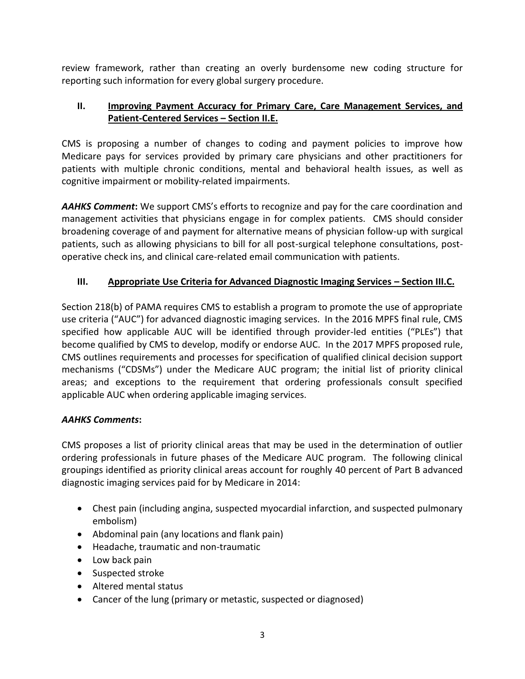review framework, rather than creating an overly burdensome new coding structure for reporting such information for every global surgery procedure.

# **II. Improving Payment Accuracy for Primary Care, Care Management Services, and Patient-Centered Services – Section II.E.**

CMS is proposing a number of changes to coding and payment policies to improve how Medicare pays for services provided by primary care physicians and other practitioners for patients with multiple chronic conditions, mental and behavioral health issues, as well as cognitive impairment or mobility-related impairments.

*AAHKS Comment***:** We support CMS's efforts to recognize and pay for the care coordination and management activities that physicians engage in for complex patients. CMS should consider broadening coverage of and payment for alternative means of physician follow-up with surgical patients, such as allowing physicians to bill for all post-surgical telephone consultations, postoperative check ins, and clinical care-related email communication with patients.

# **III. Appropriate Use Criteria for Advanced Diagnostic Imaging Services – Section III.C.**

Section 218(b) of PAMA requires CMS to establish a program to promote the use of appropriate use criteria ("AUC") for advanced diagnostic imaging services. In the 2016 MPFS final rule, CMS specified how applicable AUC will be identified through provider-led entities ("PLEs") that become qualified by CMS to develop, modify or endorse AUC. In the 2017 MPFS proposed rule, CMS outlines requirements and processes for specification of qualified clinical decision support mechanisms ("CDSMs") under the Medicare AUC program; the initial list of priority clinical areas; and exceptions to the requirement that ordering professionals consult specified applicable AUC when ordering applicable imaging services.

# *AAHKS Comments***:**

CMS proposes a list of priority clinical areas that may be used in the determination of outlier ordering professionals in future phases of the Medicare AUC program. The following clinical groupings identified as priority clinical areas account for roughly 40 percent of Part B advanced diagnostic imaging services paid for by Medicare in 2014:

- Chest pain (including angina, suspected myocardial infarction, and suspected pulmonary embolism)
- Abdominal pain (any locations and flank pain)
- Headache, traumatic and non-traumatic
- Low back pain
- Suspected stroke
- Altered mental status
- Cancer of the lung (primary or metastic, suspected or diagnosed)